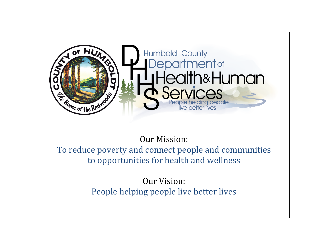

# **Our Mission:** To reduce poverty and connect people and communities to opportunities for health and wellness

Our Vision: People helping people live better lives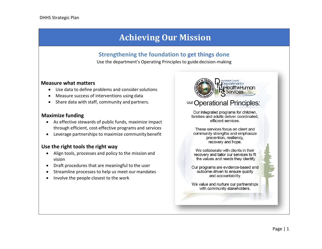## **Achieving Our Mission**

### **Strengthening the foundation to get things done**

Use the department's Operating Principles to guide decision-making

#### **Measure what matters**

- Use data to define problems and consider solutions
- Measure success of interventions using data
- Share data with staff, community and partners.

#### **Maximize funding**

- As effective stewards of public funds, maximize impact through efficient, cost-effective programs and services
- Leverage partnerships to maximize community benefit

#### **Use the right tools the right way**

- Align tools, processes and policy to the mission and vision
- Draft procedures that are meaningful to the user
- Streamline processes to help us meet our mandates
- Involve the people closest to the work



### **Operational Principles:**

Our integrated programs for children, families and adults deliver coordinated, efficient services.

These services focus on client and community strengths and emphasize prevention, resiliency, recovery and hope.

We collaborate with clients in their recovery and tailor our services to fit the values and needs they identify.

Our programs are evidence-based and outcome-driven to ensure quality and accountability.

We value and nurture our partnerships with community stakeholders.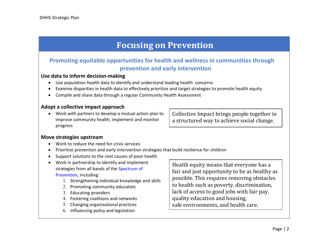## **Focusing on Prevention**

### **Promoting equitable opportunities for health and wellness in communities through prevention and early intervention**

#### **Use data to inform decision-making**

- Use population health data to identify and understand leading health concerns
- Examine disparities in health data to effectively prioritize and target strategies to promote health equity
- Compile and share data through a regular Community Health Assessment

#### **Adopt a collective impact approach**

• Work with partners to develop a mutual action plan to improve community health, implement and monitor progress

Collective Impact brings people together in a structured way to achieve social change.

#### **Move strategies upstream**

- Work to reduce the need for crisis services
- Prioritize prevention and early intervention strategies that build resilience for children
- Support solutions to the root causes of poor health
- Work in partnership to identify and implement strategies from all bands of the [Spectrum of](https://www.preventioninstitute.org/tools/spectrum-prevention-0) [Prevention,](https://www.preventioninstitute.org/tools/spectrum-prevention-0) including:
	- 1. Strengthening individual knowledge and skills
	- 2. Promoting community education
	- 3. Educating providers
	- 4. Fostering coalitions and networks
	- 5. Changing organizational practices
	- 6. Influencing policy and legislation

Health equity means that everyone has a fair and just opportunity to be as healthy as possible. This requires removing obstacles to health such as poverty, discrimination, lack of access to good jobs with fair pay, quality education and housing, safe environments, and health care.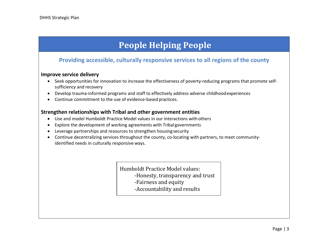# **People Helping People**

### **Providing accessible, culturally responsive services to all regions of the county**

#### **Improve service delivery**

- Seek opportunities for innovation to increase the effectiveness of poverty-reducing programs that promote selfsufficiency and recovery
- Develop trauma-informed programs and staff to effectively address adverse childhoodexperiences
- Continue commitment to the use of evidence-based practices.

#### **Strengthen relationships with Tribal and other government entities**

- Use and model Humboldt Practice Model values in our interactions with others
- Explore the development of working agreements with Tribal governments
- Leverage partnerships and resources to strengthen housing security
- Continue decentralizing services throughout the county, co-locating with partners, to meet communityidentified needs in culturally responsive ways.

Humboldt Practice Model values: -Honesty, transparency and trust -Fairness and equity -Accountability and results